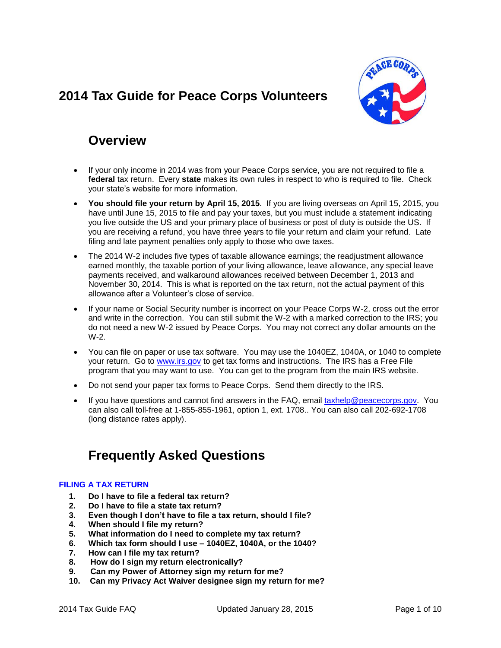# <span id="page-0-0"></span>**2014 Tax Guide for Peace Corps Volunteers**



# **Overview**

- If your only income in 2014 was from your Peace Corps service, you are not required to file a **federal** tax return. Every **state** makes its own rules in respect to who is required to file. Check your state's website for more information.
- **You should file your return by April 15, 2015**. If you are living overseas on April 15, 2015, you have until June 15, 2015 to file and pay your taxes, but you must include a statement indicating you live outside the US and your primary place of business or post of duty is outside the US. If you are receiving a refund, you have three years to file your return and claim your refund. Late filing and late payment penalties only apply to those who owe taxes.
- The 2014 W-2 includes five types of taxable allowance earnings; the readjustment allowance earned monthly, the taxable portion of your living allowance, leave allowance, any special leave payments received, and walkaround allowances received between December 1, 2013 and November 30, 2014. This is what is reported on the tax return, not the actual payment of this allowance after a Volunteer's close of service.
- If your name or Social Security number is incorrect on your Peace Corps W-2, cross out the error and write in the correction. You can still submit the W-2 with a marked correction to the IRS; you do not need a new W-2 issued by Peace Corps. You may not correct any dollar amounts on the W-2.
- You can file on paper or use tax software. You may use the 1040EZ, 1040A, or 1040 to complete your return. Go to [www.irs.gov](http://www.irs.gov/) to get tax forms and instructions. The IRS has a Free File program that you may want to use. You can get to the program from the main IRS website.
- Do not send your paper tax forms to Peace Corps. Send them directly to the IRS.
- If you have questions and cannot find answers in the FAQ, email [taxhelp@peacecorps.gov.](mailto:taxhelp@peacecorps.gov) You can also call toll-free at 1-855-855-1961, option 1, ext. 1708.. You can also call 202-692-1708 (long distance rates apply).

# **Frequently Asked Questions**

## **[FILING A TAX RETURN](#page-1-0)**

- **1. [Do I have to file a federal tax return?](#page-1-1)**
- **2. [Do I have to file a state tax return?](#page-2-0)**
- **3. [Even though I don't have to file a tax return, should I file?](#page-2-1)**
- **4. [When should I file my return?](#page-2-2)**
- **5. [What information do I need to complete my tax return?](#page-2-3)**
- **6. [Which tax form should I use –](#page-2-4) 1040EZ, 1040A, or the 1040?**
- **7. [How can I file my tax return?](#page-3-0)**
- **8. [How do I sign my return electronically?](#page-3-1)**
- **9. [Can my Power of Attorney sign my return for me?](#page-3-2)**
- **10. [Can my Privacy Act Waiver designee sign my return for me?](#page-4-0)**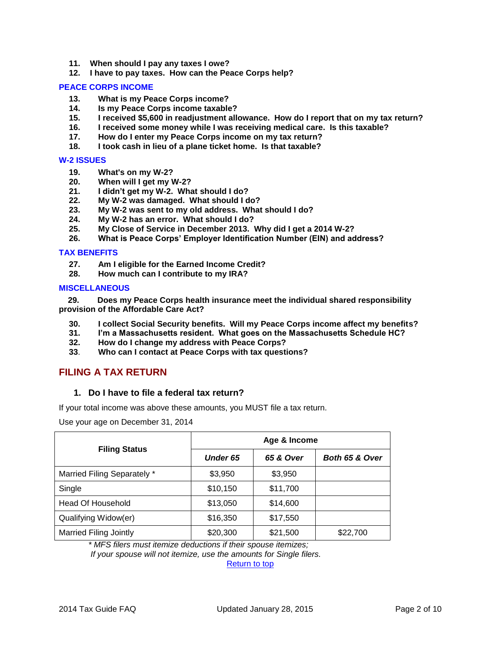- **11. [When should I pay any taxes I owe?](#page-4-1)**
- **12. [I have to pay taxes. How can the Peace Corps help?](#page-4-2)**

#### **[PEACE CORPS INCOME](#page-4-3)**

- **13. [What is my Peace Corps income?](#page-4-4)**
- **14. [Is my Peace Corps income taxable?](#page-5-0)**
- **15. I received [\\$5,600 in readjustment allowance. How do I report that on my tax return?](#page-5-1)**
- **16. [I received some money while I was receiving medical care. Is this taxable?](#page-5-2)**
- **17. [How do I enter my Peace Corps income on my tax return?](#page-6-0)**
- **18. [I took cash in lieu of a plane ticket home. Is that taxable?](#page-6-1)**

#### **[W-2 ISSUES](#page-6-2)**

- **19. [What's on my W-2?](#page-6-3)**
- **20. [When will I get my W-2?](#page-6-4)**
- **21. [I didn't get my W-2. What should I do?](#page-6-5)**
- **22. [My W-2 was damaged. What should I do?](#page-7-0)**
- **23. [My W-2 was sent to my old address. What should I do?](#page-7-1)**
- **24. [My W-2 has an error. What should I do?](#page-7-2)**
- **25. [My Close of Service in December 2013. Why did I get a 2014](#page-7-3) W-2?**
- **26. [What is Peace Corps' Employer Identification Number \(EIN\) and address?](#page-7-4)**

#### **[TAX BENEFITS](#page-8-0)**

- **27. [Am I eligible for the Earned Income Credit?](#page-8-1)**
- **28. [How much can I contribute to my IRA?](#page-8-2)**

#### **[MISCELLANEOUS](#page-8-3)**

 **[29. Does my Peace Corps health insurance meet the individual shared responsibility](#page-8-2)  provision of [the Affordable Care Act?](#page-8-2)**

- **30. [I collect Social Security benefits. Will my Peace Corps income affect my benefits?](#page-9-0)**
- **31. [I'm a Massachusetts resident. What goes on the Massachusetts Schedule HC?](#page-9-1)**
- **32. [How do I change my address with Peace Corps?](#page-9-2)**
- **33**. **[Who can I contact at Peace Corps with tax questions?](#page-9-3)**

# <span id="page-1-1"></span><span id="page-1-0"></span>**FILING A TAX RETURN**

#### **1. Do I have to file a federal tax return?**

If your total income was above these amounts, you MUST file a tax return.

Use your age on December 31, 2014

| <b>Filing Status</b>          | Age & Income    |           |                |  |  |
|-------------------------------|-----------------|-----------|----------------|--|--|
|                               | <b>Under 65</b> | 65 & Over | Both 65 & Over |  |  |
| Married Filing Separately *   | \$3,950         | \$3,950   |                |  |  |
| Single                        | \$10,150        | \$11,700  |                |  |  |
| <b>Head Of Household</b>      | \$13,050        | \$14,600  |                |  |  |
| Qualifying Widow(er)          | \$16,350        | \$17,550  |                |  |  |
| <b>Married Filing Jointly</b> | \$20,300        | \$21,500  | \$22,700       |  |  |

*\* MFS filers must itemize deductions if their spouse itemizes;*

*If your spouse will not itemize, use the amounts for Single filers.*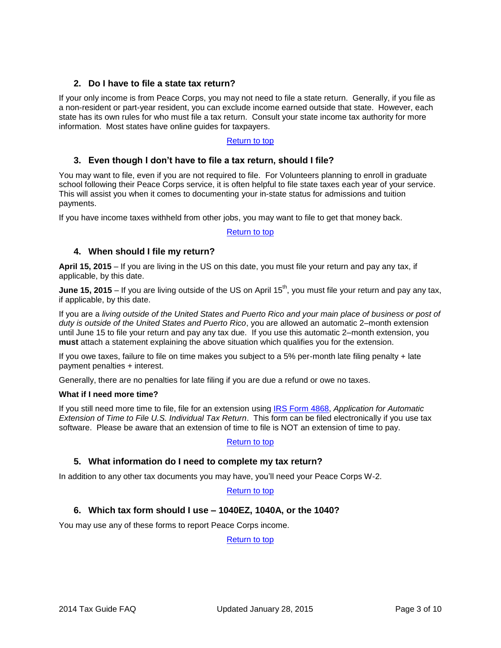## <span id="page-2-0"></span>**2. Do I have to file a state tax return?**

If your only income is from Peace Corps, you may not need to file a state return. Generally, if you file as a non-resident or part-year resident, you can exclude income earned outside that state. However, each state has its own rules for who must file a tax return. Consult your state income tax authority for more information. Most states have online guides for taxpayers.

## [Return to top](#page-0-0)

## <span id="page-2-1"></span>**3. Even though I don't have to file a tax return, should I file?**

You may want to file, even if you are not required to file. For Volunteers planning to enroll in graduate school following their Peace Corps service, it is often helpful to file state taxes each year of your service. This will assist you when it comes to documenting your in-state status for admissions and tuition payments.

If you have income taxes withheld from other jobs, you may want to file to get that money back.

#### [Return to top](#page-0-0)

## <span id="page-2-2"></span>**4. When should I file my return?**

**April 15, 2015** – If you are living in the US on this date, you must file your return and pay any tax, if applicable, by this date.

**June 15, 2015** – If you are living outside of the US on April 15<sup>th</sup>, you must file your return and pay any tax, if applicable, by this date.

If you are a *living outside of the United States and Puerto Rico and your main place of business or post of duty is outside of the United States and Puerto Rico*, you are allowed an automatic 2–month extension until June 15 to file your return and pay any tax due. If you use this automatic 2–month extension, you **must** attach a statement explaining the above situation which qualifies you for the extension.

If you owe taxes, failure to file on time makes you subject to a 5% per-month late filing penalty + late payment penalties + interest.

Generally, there are no penalties for late filing if you are due a refund or owe no taxes.

#### **What if I need more time?**

If you still need more time to file, file for an extension using [IRS Form 4868,](http://www.irs.gov/pub/irs-pdf/f4868.pdf) *Application for Automatic Extension of Time to File U.S. Individual Tax Return*. This form can be filed electronically if you use tax software. Please be aware that an extension of time to file is NOT an extension of time to pay.

#### [Return to top](#page-0-0)

## <span id="page-2-3"></span>**5. What information do I need to complete my tax return?**

In addition to any other tax documents you may have, you'll need your Peace Corps W-2.

#### [Return to top](#page-0-0)

## <span id="page-2-4"></span>**6. Which tax form should I use – 1040EZ, 1040A, or the 1040?**

You may use any of these forms to report Peace Corps income.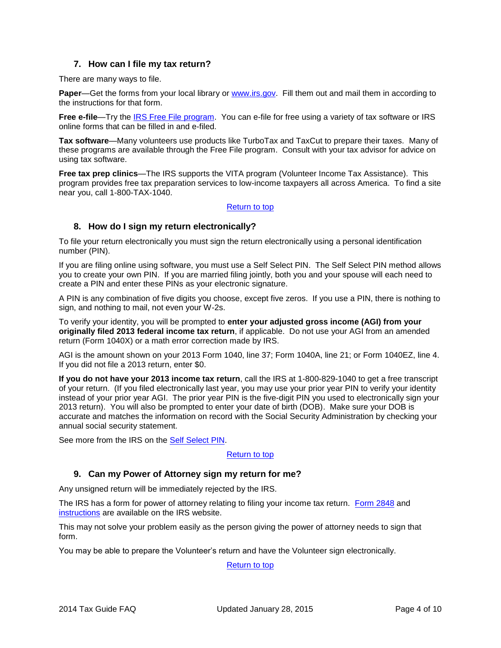## **7. How can I file my tax return?**

<span id="page-3-0"></span>There are many ways to file.

**Paper—Get the forms from your local library or [www.irs.gov.](http://www.irs.gov/) Fill them out and mail them in according to** the instructions for that form.

**Free e-file**—Try the [IRS Free File program.](http://www.irs.gov/efile/article/0,,id=118986,00.html?portlet=4) You can e-file for free using a variety of tax software or IRS online forms that can be filled in and e-filed.

**Tax software**—Many volunteers use products like TurboTax and TaxCut to prepare their taxes. Many of these programs are available through the Free File program. Consult with your tax advisor for advice on using tax software.

**Free tax prep clinics**—The IRS supports the VITA program (Volunteer Income Tax Assistance). This program provides free tax preparation services to low-income taxpayers all across America. To find a site near you, call 1-800-TAX-1040.

## [Return to top](#page-0-0)

## <span id="page-3-1"></span>**8. How do I sign my return electronically?**

To file your return electronically you must sign the return electronically using a personal identification number (PIN).

If you are filing online using software, you must use a Self Select PIN. The Self Select PIN method allows you to create your own PIN. If you are married filing jointly, both you and your spouse will each need to create a PIN and enter these PINs as your electronic signature.

A PIN is any combination of five digits you choose, except five zeros. If you use a PIN, there is nothing to sign, and nothing to mail, not even your W-2s.

To verify your identity, you will be prompted to **enter your adjusted gross income (AGI) from your originally filed 2013 federal income tax return**, if applicable. Do not use your AGI from an amended return (Form 1040X) or a math error correction made by IRS.

AGI is the amount shown on your 2013 Form 1040, line 37; Form 1040A, line 21; or Form 1040EZ, line 4. If you did not file a 2013 return, enter \$0.

**If you do not have your 2013 income tax return**, call the IRS at 1-800-829-1040 to get a free transcript of your return. (If you filed electronically last year, you may use your prior year PIN to verify your identity instead of your prior year AGI. The prior year PIN is the five-digit PIN you used to electronically sign your 2013 return). You will also be prompted to enter your date of birth (DOB). Make sure your DOB is accurate and matches the information on record with the Social Security Administration by checking your annual social security statement.

See more from the IRS on the Self [Select PIN.](http://www.irs.gov/efile/article/0,,id=120000,00.html)

#### [Return to top](#page-0-0)

## <span id="page-3-2"></span>**9. Can my Power of Attorney sign my return for me?**

Any unsigned return will be immediately rejected by the IRS.

The IRS has a form for power of attorney relating to filing your income tax return. [Form 2848](http://www.irs.gov/pub/irs-pdf/f2848.pdf) and [instructions](http://www.irs.gov/pub/irs-pdf/i2848.pdf) are available on the IRS website.

This may not solve your problem easily as the person giving the power of attorney needs to sign that form.

You may be able to prepare the Volunteer's return and have the Volunteer sign electronically.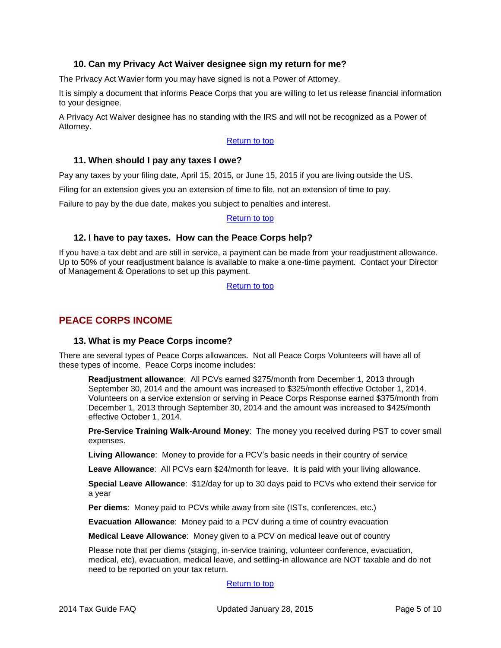## **10. Can my Privacy Act Waiver designee sign my return for me?**

<span id="page-4-0"></span>The Privacy Act Wavier form you may have signed is not a Power of Attorney.

It is simply a document that informs Peace Corps that you are willing to let us release financial information to your designee.

A Privacy Act Waiver designee has no standing with the IRS and will not be recognized as a Power of Attorney.

#### [Return](#page-0-0) to top

#### <span id="page-4-1"></span>**11. When should I pay any taxes I owe?**

Pay any taxes by your filing date, April 15, 2015, or June 15, 2015 if you are living outside the US.

Filing for an extension gives you an extension of time to file, not an extension of time to pay.

Failure to pay by the due date, makes you subject to penalties and interest.

#### [Return to top](#page-0-0)

## <span id="page-4-2"></span>**12. I have to pay taxes. How can the Peace Corps help?**

If you have a tax debt and are still in service, a payment can be made from your readjustment allowance. Up to 50% of your readjustment balance is available to make a one-time payment. Contact your Director of Management & Operations to set up this payment.

[Return to top](#page-0-0)

## <span id="page-4-4"></span><span id="page-4-3"></span>**PEACE CORPS INCOME**

#### **13. What is my Peace Corps income?**

There are several types of Peace Corps allowances. Not all Peace Corps Volunteers will have all of these types of income. Peace Corps income includes:

**Readjustment allowance**: All PCVs earned \$275/month from December 1, 2013 through September 30, 2014 and the amount was increased to \$325/month effective October 1, 2014. Volunteers on a service extension or serving in Peace Corps Response earned \$375/month from December 1, 2013 through September 30, 2014 and the amount was increased to \$425/month effective October 1, 2014.

**Pre-Service Training Walk-Around Money**: The money you received during PST to cover small expenses.

**Living Allowance**: Money to provide for a PCV's basic needs in their country of service

**Leave Allowance**: All PCVs earn \$24/month for leave. It is paid with your living allowance.

**Special Leave Allowance**: \$12/day for up to 30 days paid to PCVs who extend their service for a year

**Per diems**: Money paid to PCVs while away from site (ISTs, conferences, etc.)

**Evacuation Allowance**: Money paid to a PCV during a time of country evacuation

**Medical Leave Allowance**: Money given to a PCV on medical leave out of country

Please note that per diems (staging, in-service training, volunteer conference, evacuation, medical, etc), evacuation, medical leave, and settling-in allowance are NOT taxable and do not need to be reported on your tax return.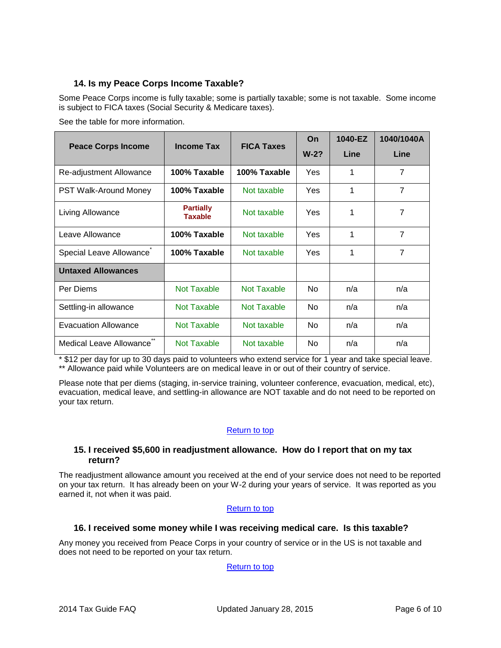# <span id="page-5-0"></span>**14. Is my Peace Corps Income Taxable?**

Some Peace Corps income is fully taxable; some is partially taxable; some is not taxable. Some income is subject to FICA taxes (Social Security & Medicare taxes).

See the table for more information.

| <b>Peace Corps Income</b>    | <b>Income Tax</b>                  | <b>FICA Taxes</b> | On<br>$W-2?$ | 1040-EZ<br>Line | 1040/1040A<br>Line |
|------------------------------|------------------------------------|-------------------|--------------|-----------------|--------------------|
|                              |                                    |                   |              |                 |                    |
| Re-adjustment Allowance      | 100% Taxable                       | 100% Taxable      | Yes          | 1               | 7                  |
| <b>PST Walk-Around Money</b> | 100% Taxable                       | Not taxable       | Yes          | 1               | $\overline{7}$     |
| Living Allowance             | <b>Partially</b><br><b>Taxable</b> | Not taxable       | Yes          | 1               | 7                  |
| Leave Allowance              | 100% Taxable                       | Not taxable       | Yes          | 1               | 7                  |
| Special Leave Allowance      | 100% Taxable                       | Not taxable       | <b>Yes</b>   | 1               | $\overline{7}$     |
| <b>Untaxed Allowances</b>    |                                    |                   |              |                 |                    |
| Per Diems                    | Not Taxable                        | Not Taxable       | <b>No</b>    | n/a             | n/a                |
| Settling-in allowance        | Not Taxable                        | Not Taxable       | No.          | n/a             | n/a                |
| <b>Evacuation Allowance</b>  | Not Taxable                        | Not taxable       | No.          | n/a             | n/a                |
| Medical Leave Allowance      | Not Taxable                        | Not taxable       | No.          | n/a             | n/a                |

\* \$12 per day for up to 30 days paid to volunteers who extend service for 1 year and take special leave. \*\* Allowance paid while Volunteers are on medical leave in or out of their country of service.

Please note that per diems (staging, in-service training, volunteer conference, evacuation, medical, etc), evacuation, medical leave, and settling-in allowance are NOT taxable and do not need to be reported on your tax return.

## [Return to top](#page-0-0)

## <span id="page-5-1"></span>**15. I received \$5,600 in readjustment allowance. How do I report that on my tax return?**

The readjustment allowance amount you received at the end of your service does not need to be reported on your tax return. It has already been on your W-2 during your years of service. It was reported as you earned it, not when it was paid.

## [Return to top](#page-0-0)

## <span id="page-5-2"></span>**16. I received some money while I was receiving medical care. Is this taxable?**

Any money you received from Peace Corps in your country of service or in the US is not taxable and does not need to be reported on your tax return.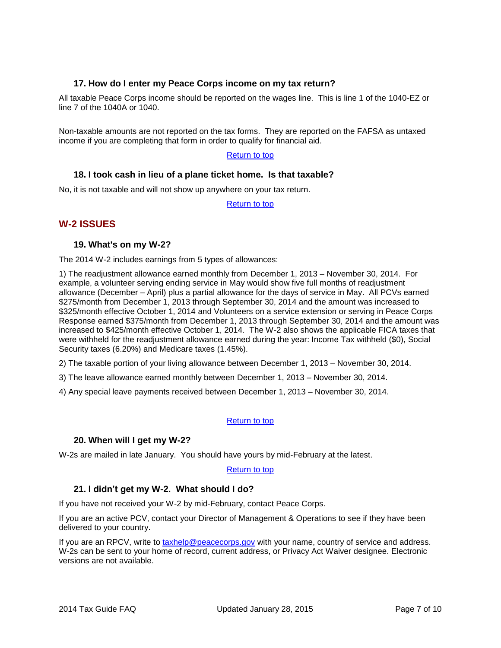## <span id="page-6-0"></span>**17. How do I enter my Peace Corps income on my tax return?**

All taxable Peace Corps income should be reported on the wages line. This is line 1 of the 1040-EZ or line 7 of the 1040A or 1040.

Non-taxable amounts are not reported on the tax forms. They are reported on the FAFSA as untaxed income if you are completing that form in order to qualify for financial aid.

#### [Return to top](#page-0-0)

## <span id="page-6-1"></span>**18. I took cash in lieu of a plane ticket home. Is that taxable?**

No, it is not taxable and will not show up anywhere on your tax return.

[Return to top](#page-0-0)

# <span id="page-6-3"></span><span id="page-6-2"></span>**W-2 ISSUES**

## **19. What's on my W-2?**

The 2014 W-2 includes earnings from 5 types of allowances:

1) The readjustment allowance earned monthly from December 1, 2013 – November 30, 2014. For example, a volunteer serving ending service in May would show five full months of readjustment allowance (December – April) plus a partial allowance for the days of service in May. All PCVs earned \$275/month from December 1, 2013 through September 30, 2014 and the amount was increased to \$325/month effective October 1, 2014 and Volunteers on a service extension or serving in Peace Corps Response earned \$375/month from December 1, 2013 through September 30, 2014 and the amount was increased to \$425/month effective October 1, 2014. The W-2 also shows the applicable FICA taxes that were withheld for the readjustment allowance earned during the year: Income Tax withheld (\$0), Social Security taxes (6.20%) and Medicare taxes (1.45%).

2) The taxable portion of your living allowance between December 1, 2013 – November 30, 2014.

3) The leave allowance earned monthly between December 1, 2013 – November 30, 2014.

4) Any special leave payments received between December 1, 2013 – November 30, 2014.

#### [Return to top](#page-0-0)

#### <span id="page-6-4"></span>**20. When will I get my W-2?**

W-2s are mailed in late January. You should have yours by mid-February at the latest.

#### [Return to top](#page-0-0)

## <span id="page-6-5"></span>**21. I didn't get my W-2. What should I do?**

If you have not received your W-2 by mid-February, contact Peace Corps.

If you are an active PCV, contact your Director of Management & Operations to see if they have been delivered to your country.

If you are an RPCV, write to [taxhelp@peacecorps.gov](mailto:taxhelp@peacecorps.gov) with your name, country of service and address. W-2s can be sent to your home of record, current address, or Privacy Act Waiver designee. Electronic versions are not available.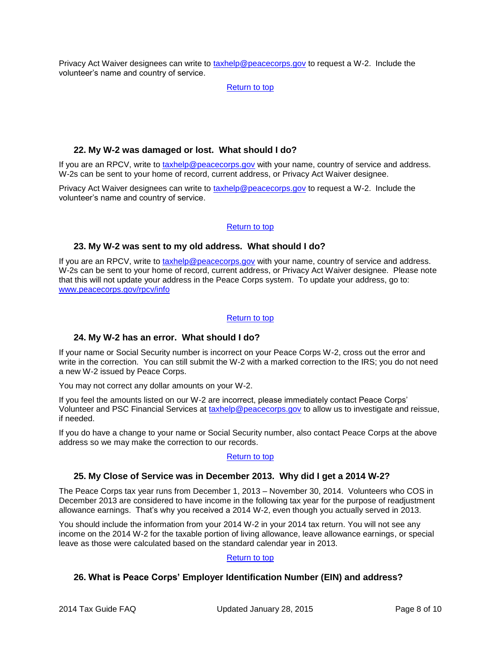Privacy Act Waiver designees can write to [taxhelp@peacecorps.gov](mailto:taxhelp@peacecorps.gov) to request a W-2. Include the volunteer's name and country of service.

[Return to top](#page-0-0)

## <span id="page-7-0"></span>**22. My W-2 was damaged or lost. What should I do?**

If you are an RPCV, write to [taxhelp@peacecorps.gov](mailto:taxhelp@peacecorps.gov) with your name, country of service and address. W-2s can be sent to your home of record, current address, or Privacy Act Waiver designee.

Privacy Act Waiver designees can write to [taxhelp@peacecorps.gov](mailto:taxhelp@peacecorps.gov) to request a W-2. Include the volunteer's name and country of service.

## [Return to top](#page-0-0)

## <span id="page-7-1"></span>**23. My W-2 was sent to my old address. What should I do?**

If you are an RPCV, write to [taxhelp@peacecorps.gov](mailto:taxhelp@peacecorps.gov) with your name, country of service and address. W-2s can be sent to your home of record, current address, or Privacy Act Waiver designee. Please note that this will not update your address in the Peace Corps system. To update your address, go to: [www.peacecorps.gov/rpcv/info](http://www.peacecorps.gov/rpcv/info)

## [Return to top](#page-0-0)

## <span id="page-7-2"></span>**24. My W-2 has an error. What should I do?**

If your name or Social Security number is incorrect on your Peace Corps W-2, cross out the error and write in the correction. You can still submit the W-2 with a marked correction to the IRS; you do not need a new W-2 issued by Peace Corps.

You may not correct any dollar amounts on your W-2.

If you feel the amounts listed on our W-2 are incorrect, please immediately contact Peace Corps' Volunteer and PSC Financial Services at [taxhelp@peacecorps.gov](mailto:taxhelp@peacecorps.gov) to allow us to investigate and reissue, if needed.

If you do have a change to your name or Social Security number, also contact Peace Corps at the above address so we may make the correction to our records.

#### [Return to top](#page-0-0)

## <span id="page-7-3"></span>**25. My Close of Service was in December 2013. Why did I get a 2014 W-2?**

The Peace Corps tax year runs from December 1, 2013 – November 30, 2014. Volunteers who COS in December 2013 are considered to have income in the following tax year for the purpose of readjustment allowance earnings. That's why you received a 2014 W-2, even though you actually served in 2013.

You should include the information from your 2014 W-2 in your 2014 tax return. You will not see any income on the 2014 W-2 for the taxable portion of living allowance, leave allowance earnings, or special leave as those were calculated based on the standard calendar year in 2013.

## [Return to top](#page-0-0)

# <span id="page-7-4"></span>**26. What is Peace Corps' Employer Identification Number (EIN) and address?**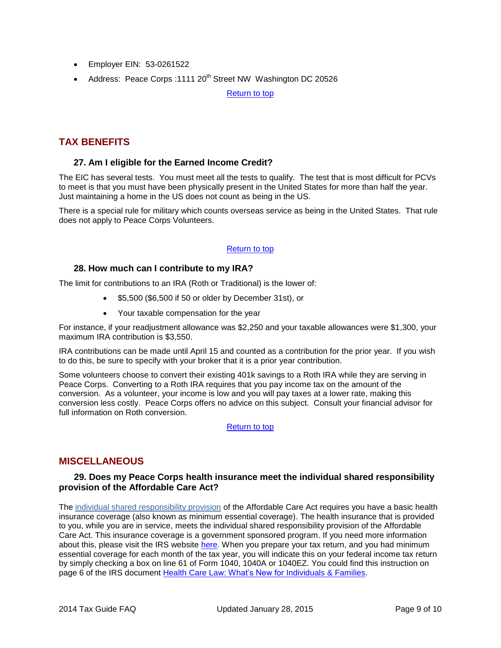- Employer EIN: 53-0261522
- Address: Peace Corps : 1111 20<sup>th</sup> Street NW Washington DC 20526

[Return to top](#page-0-0)

# <span id="page-8-1"></span><span id="page-8-0"></span>**TAX BENEFITS**

## **27. Am I eligible for the Earned Income Credit?**

The EIC has several tests. You must meet all the tests to qualify. The test that is most difficult for PCVs to meet is that you must have been physically present in the United States for more than half the year. Just maintaining a home in the US does not count as being in the US.

There is a special rule for military which counts overseas service as being in the United States. That rule does not apply to Peace Corps Volunteers.

## [Return to top](#page-0-0)

## <span id="page-8-2"></span>**28. How much can I contribute to my IRA?**

The limit for contributions to an IRA (Roth or Traditional) is the lower of:

- \$5,500 (\$6,500 if 50 or older by December 31st), or
- Your taxable compensation for the year

For instance, if your readjustment allowance was \$2,250 and your taxable allowances were \$1,300, your maximum IRA contribution is \$3,550.

IRA contributions can be made until April 15 and counted as a contribution for the prior year. If you wish to do this, be sure to specify with your broker that it is a prior year contribution.

Some volunteers choose to convert their existing 401k savings to a Roth IRA while they are serving in Peace Corps. Converting to a Roth IRA requires that you pay income tax on the amount of the conversion. As a volunteer, your income is low and you will pay taxes at a lower rate, making this conversion less costly. Peace Corps offers no advice on this subject. Consult your financial advisor for full information on Roth conversion.

[Return to top](#page-0-0)

# <span id="page-8-3"></span>**MISCELLANEOUS**

## **29. Does my Peace Corps health insurance meet the individual shared responsibility provision of the Affordable Care Act?**

The [individual shared responsibility provision](http://www.irs.gov/Affordable-Care-Act/Individuals-and-Families/Individual-Shared-Responsibility-Provision) of the Affordable Care Act requires you have a basic health insurance coverage (also known as minimum essential coverage). The health insurance that is provided to you, while you are in service, meets the individual shared responsibility provision of the Affordable Care Act. This insurance coverage is a government sponsored program. If you need more information about this, please visit the IRS website [here.](http://www.irs.gov/Affordable-Care-Act/Individuals-and-Families/ACA-Individual-Shared-Responsibility-Provision-Minimum-Essential-Coverage) When you prepare your tax return, and you had minimum essential coverage for each month of the tax year, you will indicate this on your federal income tax return by simply checking a box on line 61 of Form 1040, 1040A or 1040EZ. You could find this instruction on page 6 of the IRS document [Health Care Law: What's New for](http://www.irs.gov/pub/irs-pdf/p5187.pdf) Individuals & Families.